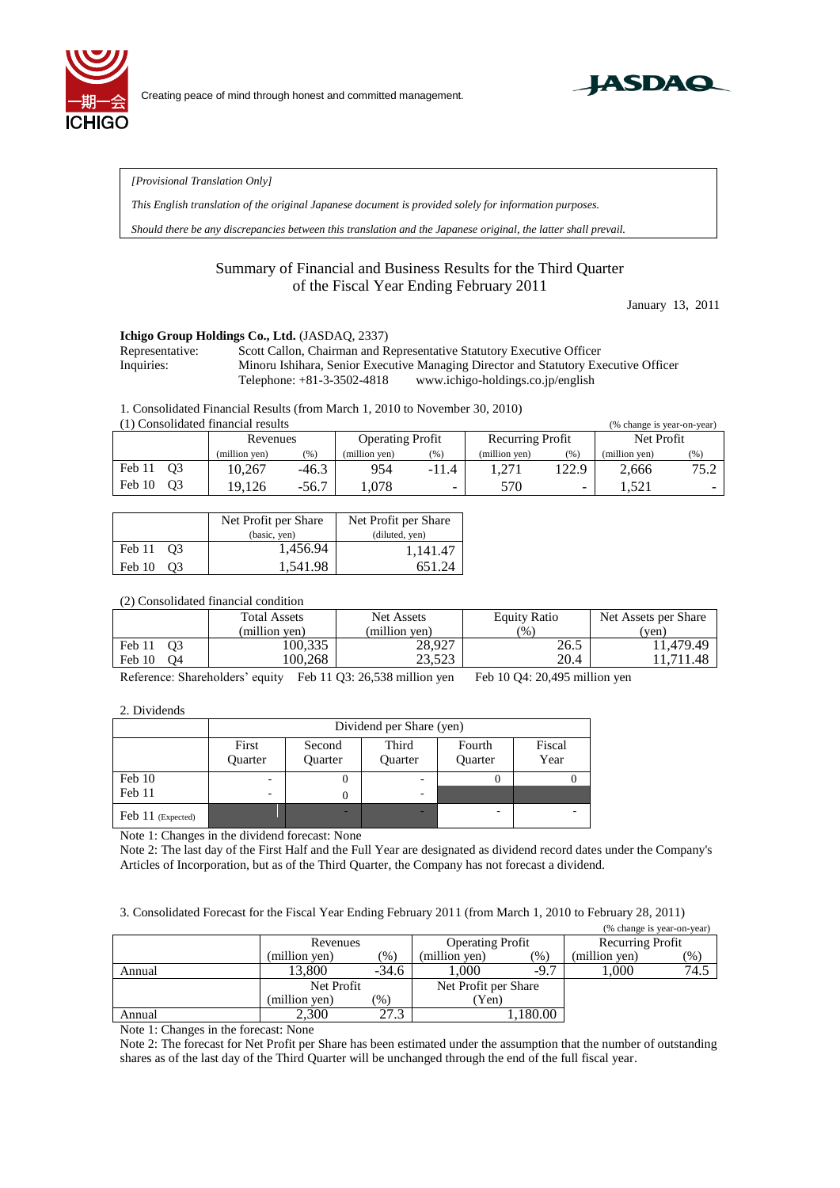



*[Provisional Translation Only]* 

*This English translation of the original Japanese document is provided solely for information purposes.*

*Should there be any discrepancies between this translation and the Japanese original, the latter shall prevail.*

## Summary of Financial and Business Results for the Third Quarter of the Fiscal Year Ending February 2011

January 13, 2011

## **Ichigo Group Holdings Co., Ltd.** (JASDAQ, 2337)

Representative: Scott Callon, Chairman and Representative Statutory Executive Officer Inquiries: Minoru Ishihara, Senior Executive Managing Director and Statutory Executive Officer Telephone: +81-3-3502-4818 www.ichigo-holdings.co.jp/english

1. Consolidated Financial Results (from March 1, 2010 to November 30, 2010)

| (1) Consolidated financial results |               |         |                         |         |                  |       | (% change is year-on-year) |        |
|------------------------------------|---------------|---------|-------------------------|---------|------------------|-------|----------------------------|--------|
|                                    | Revenues      |         | <b>Operating Profit</b> |         | Recurring Profit |       | Net Profit                 |        |
|                                    | (million yen) | $(\% )$ | (million ven)           | (%)     | (million yen)    | (% )  | (million yen)              | $(\%)$ |
| O <sub>3</sub><br>Feb 11           | 10.267        | $-46.3$ | 954                     | $-11.4$ | .271             | 122.9 | 2.666                      | 75.2   |
| Feb 10<br>O <sub>3</sub>           | 19.126        | $-56.7$ | .078                    | -       | 570              | -     | .521                       | -      |

|                          | Net Profit per Share | Net Profit per Share |  |  |
|--------------------------|----------------------|----------------------|--|--|
|                          | (basic, yen)         | (diluted, yen)       |  |  |
| Feb 11 03                | 1,456.94             | 1,141.47             |  |  |
| Feb 10<br>O <sub>3</sub> | 1,541.98             | 651.24               |  |  |

## (2) Consolidated financial condition

|                                          | <b>Total Assets</b> | Net Assets       | <b>Equity Ratio</b> | Net Assets per Share |
|------------------------------------------|---------------------|------------------|---------------------|----------------------|
|                                          | (million ven)       | (million ven)    | (9)                 | (ven)                |
| O <sub>3</sub><br>Feb 11<br>Feb 10<br>O4 | 100,335<br>100.268  | 28,927<br>23.523 | 26.5<br>20.4        | 11.479.49<br>.711.48 |

Reference: Shareholders' equity Feb 11 Q3: 26,538 million yen Feb 10 Q4: 20,495 million yen

2. Dividends

|                   | Dividend per Share (yen) |                          |                         |                          |                |  |  |
|-------------------|--------------------------|--------------------------|-------------------------|--------------------------|----------------|--|--|
|                   | First<br><b>Ouarter</b>  | Second<br><b>Ouarter</b> | Third<br><b>Ouarter</b> | Fourth<br><b>Ouarter</b> | Fiscal<br>Year |  |  |
| Feb 10            | $\overline{\phantom{a}}$ | U                        |                         |                          |                |  |  |
| Feb 11            |                          | 0                        |                         |                          |                |  |  |
| Feb 11 (Expected) |                          |                          |                         | -                        | -              |  |  |

Note 1: Changes in the dividend forecast: None

Note 2: The last day of the First Half and the Full Year are designated as dividend record dates under the Company's Articles of Incorporation, but as of the Third Quarter, the Company has not forecast a dividend.

3. Consolidated Forecast for the Fiscal Year Ending February 2011 (from March 1, 2010 to February 28, 2011)

|        |               |                                |                         |        | (% change is year-on-year) |        |
|--------|---------------|--------------------------------|-------------------------|--------|----------------------------|--------|
|        | Revenues      |                                | <b>Operating Profit</b> |        | Recurring Profit           |        |
|        | (million yen) | $\gamma$ <sup>0</sup> $\gamma$ | (million yen)           | (96)   | (million yen)              | $(\%)$ |
| Annual | 13.800        | $-34.6$                        | 1.000                   | $-9.7$ | 000.                       | 74.5   |
|        | Net Profit    |                                | Net Profit per Share    |        |                            |        |
|        | (million yen) | $\mathcal{O}_0$                | Yen)                    |        |                            |        |
| Annual | 2.300         | 27.3                           |                         | 180.00 |                            |        |

Note 1: Changes in the forecast: None

Note 2: The forecast for Net Profit per Share has been estimated under the assumption that the number of outstanding shares as of the last day of the Third Quarter will be unchanged through the end of the full fiscal year.